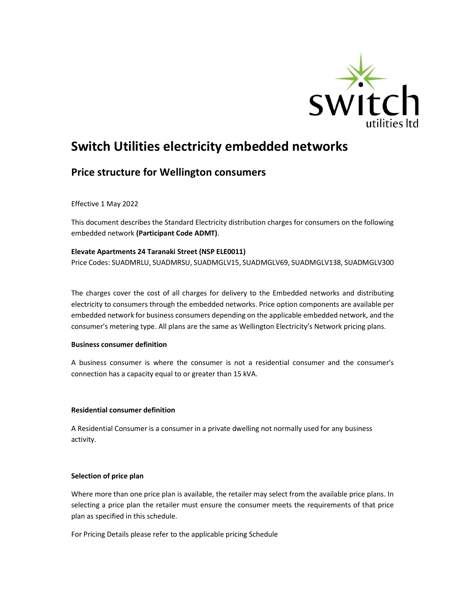

# Switch Utilities electricity embedded networks

# Price structure for Wellington consumers

Effective 1 May 2022

This document describes the Standard Electricity distribution charges for consumers on the following embedded network (Participant Code ADMT).

#### Elevate Apartments 24 Taranaki Street (NSP ELE0011)

Price Codes: SUADMRLU, SUADMRSU, SUADMGLV15, SUADMGLV69, SUADMGLV138, SUADMGLV300

The charges cover the cost of all charges for delivery to the Embedded networks and distributing electricity to consumers through the embedded networks. Price option components are available per embedded network for business consumers depending on the applicable embedded network, and the consumer's metering type. All plans are the same as Wellington Electricity's Network pricing plans.

#### Business consumer definition

A business consumer is where the consumer is not a residential consumer and the consumer's connection has a capacity equal to or greater than 15 kVA.

# Residential consumer definition

A Residential Consumer is a consumer in a private dwelling not normally used for any business activity.

# Selection of price plan

Where more than one price plan is available, the retailer may select from the available price plans. In selecting a price plan the retailer must ensure the consumer meets the requirements of that price plan as specified in this schedule.

For Pricing Details please refer to the applicable pricing Schedule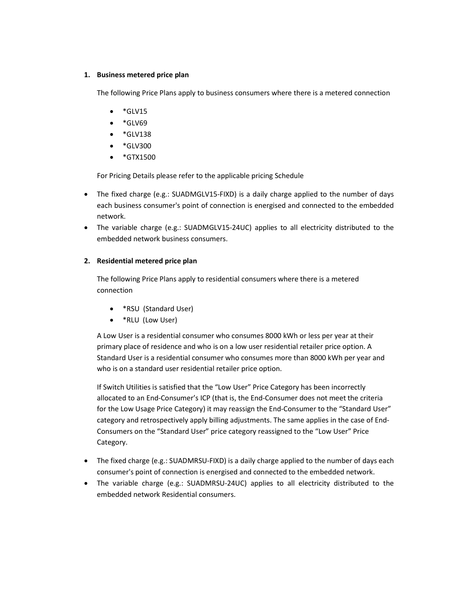#### 1. Business metered price plan

The following Price Plans apply to business consumers where there is a metered connection

- $\bullet$  \*GLV15
- $\bullet$  \*GLV69
- $\bullet$  \*GLV138
- \*GLV300
- $\bullet$  \*GTX1500

For Pricing Details please refer to the applicable pricing Schedule

- The fixed charge (e.g.: SUADMGLV15-FIXD) is a daily charge applied to the number of days each business consumer's point of connection is energised and connected to the embedded network.
- The variable charge (e.g.: SUADMGLV15-24UC) applies to all electricity distributed to the embedded network business consumers.

# 2. Residential metered price plan

The following Price Plans apply to residential consumers where there is a metered connection

- \*RSU (Standard User)
- \*RLU (Low User)

A Low User is a residential consumer who consumes 8000 kWh or less per year at their primary place of residence and who is on a low user residential retailer price option. A Standard User is a residential consumer who consumes more than 8000 kWh per year and who is on a standard user residential retailer price option.

If Switch Utilities is satisfied that the "Low User" Price Category has been incorrectly allocated to an End-Consumer's ICP (that is, the End-Consumer does not meet the criteria for the Low Usage Price Category) it may reassign the End-Consumer to the "Standard User" category and retrospectively apply billing adjustments. The same applies in the case of End-Consumers on the "Standard User" price category reassigned to the "Low User" Price Category.

- The fixed charge (e.g.: SUADMRSU-FIXD) is a daily charge applied to the number of days each consumer's point of connection is energised and connected to the embedded network.
- The variable charge (e.g.: SUADMRSU-24UC) applies to all electricity distributed to the embedded network Residential consumers.